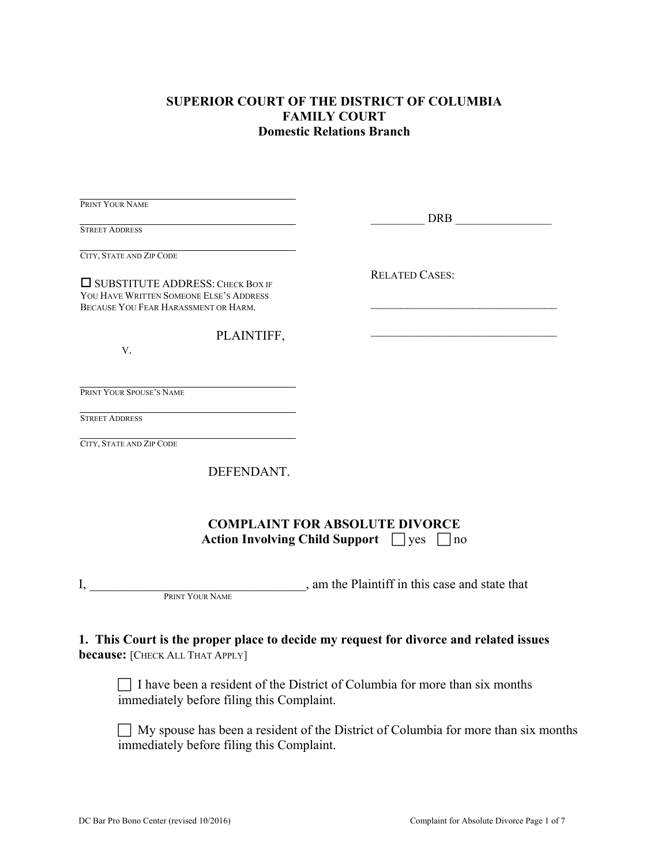### **SUPERIOR COURT OF THE DISTRICT OF COLUMBIA FAMILY COURT Domestic Relations Branch**

| PRINT YOUR NAME                                                                                                            | DRB and the set of the set of the set of the set of the set of the set of the set of the set of the set of the set of the set of the set of the set of the set of the set of the set of the set of the set of the set of the s |
|----------------------------------------------------------------------------------------------------------------------------|--------------------------------------------------------------------------------------------------------------------------------------------------------------------------------------------------------------------------------|
| <b>STREET ADDRESS</b>                                                                                                      |                                                                                                                                                                                                                                |
| CITY, STATE AND ZIP CODE                                                                                                   |                                                                                                                                                                                                                                |
| $\Box$ SUBSTITUTE ADDRESS: CHECK BOX IF<br>YOU HAVE WRITTEN SOMEONE ELSE'S ADDRESS<br>BECAUSE YOU FEAR HARASSMENT OR HARM. | <b>RELATED CASES:</b>                                                                                                                                                                                                          |
| PLAINTIFF,<br>V.                                                                                                           |                                                                                                                                                                                                                                |
| PRINT YOUR SPOUSE'S NAME                                                                                                   |                                                                                                                                                                                                                                |
| <b>STREET ADDRESS</b>                                                                                                      |                                                                                                                                                                                                                                |
| CITY, STATE AND ZIP CODE                                                                                                   |                                                                                                                                                                                                                                |
| DEFENDANT.                                                                                                                 |                                                                                                                                                                                                                                |
|                                                                                                                            | <b>COMPLAINT FOR ABSOLUTE DIVORCE</b><br>Action Involving Child Support $\Box$ yes $\Box$ no                                                                                                                                   |
| I,<br>PRINT YOUR NAME                                                                                                      | , am the Plaintiff in this case and state that                                                                                                                                                                                 |
| <b>because:</b> [CHECK ALL THAT APPLY]<br>immediately before filing this Complaint.                                        | 1. This Court is the proper place to decide my request for divorce and related issues<br>I have been a resident of the District of Columbia for more than six months                                                           |
|                                                                                                                            |                                                                                                                                                                                                                                |

 $\Box$  My spouse has been a resident of the District of Columbia for more than six months immediately before filing this Complaint.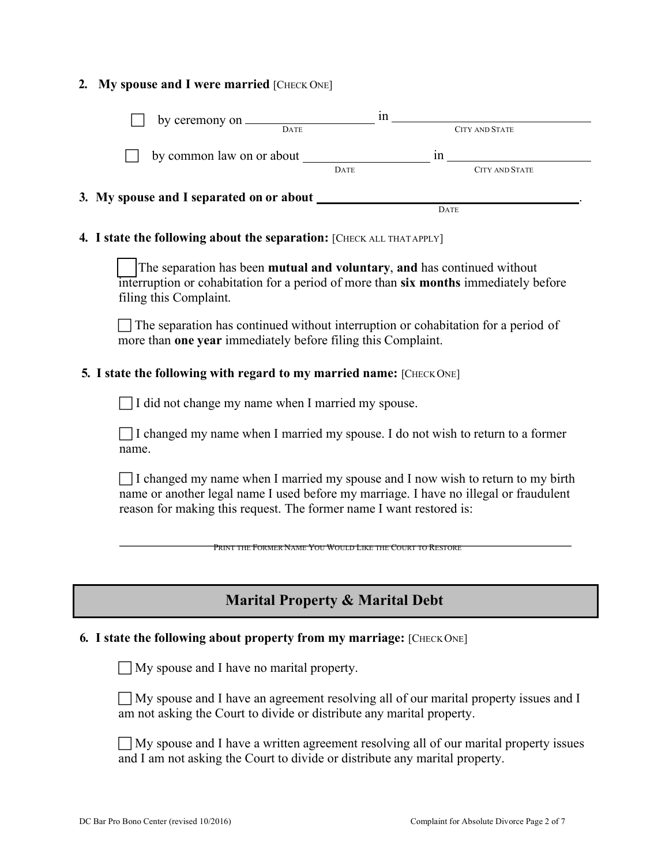### 2. My spouse and I were married [CHECK ONE]

|                                                                                                                                                                                                                                                                                                                                                                                                                      | in |                       |  |
|----------------------------------------------------------------------------------------------------------------------------------------------------------------------------------------------------------------------------------------------------------------------------------------------------------------------------------------------------------------------------------------------------------------------|----|-----------------------|--|
| by ceremony on <u>DATE</u>                                                                                                                                                                                                                                                                                                                                                                                           |    | <b>CITY AND STATE</b> |  |
| by common law on or about $\frac{1}{\sqrt{1-\frac{1}{n}}}\sin \frac{1}{\sqrt{1-\frac{1}{n}}}\sin \frac{1}{\sqrt{1-\frac{1}{n}}}\sin \frac{1}{\sqrt{1-\frac{1}{n}}}\sin \frac{1}{\sqrt{1-\frac{1}{n}}}\sin \frac{1}{\sqrt{1-\frac{1}{n}}}\sin \frac{1}{\sqrt{1-\frac{1}{n}}}\sin \frac{1}{\sqrt{1-\frac{1}{n}}}\sin \frac{1}{\sqrt{1-\frac{1}{n}}}\sin \frac{1}{\sqrt{1-\frac{1}{n}}}\sin \frac{1}{\sqrt{1-\frac{1}{$ |    |                       |  |
|                                                                                                                                                                                                                                                                                                                                                                                                                      |    |                       |  |
|                                                                                                                                                                                                                                                                                                                                                                                                                      |    |                       |  |
|                                                                                                                                                                                                                                                                                                                                                                                                                      |    | DATE                  |  |
| 4. I state the following about the separation: [CHECK ALL THATAPPLY]                                                                                                                                                                                                                                                                                                                                                 |    |                       |  |
| The separation has been mutual and voluntary, and has continued without<br>interruption or cohabitation for a period of more than six months immediately before<br>filing this Complaint.                                                                                                                                                                                                                            |    |                       |  |
| $\Box$ The separation has continued without interruption or cohabitation for a period of<br>more than <b>one year</b> immediately before filing this Complaint.                                                                                                                                                                                                                                                      |    |                       |  |
| 5. I state the following with regard to my married name: [CHECK ONE]                                                                                                                                                                                                                                                                                                                                                 |    |                       |  |
| I did not change my name when I married my spouse.                                                                                                                                                                                                                                                                                                                                                                   |    |                       |  |
| $\Box$ I changed my name when I married my spouse. I do not wish to return to a former<br>name.                                                                                                                                                                                                                                                                                                                      |    |                       |  |
| $\Box$ I changed my name when I married my spouse and I now wish to return to my birth<br>name or another legal name I used before my marriage. I have no illegal or fraudulent<br>reason for making this request. The former name I want restored is:                                                                                                                                                               |    |                       |  |

PRINT THE FORMER NAME YOU WOULD LIKE THE COURT TO RESTORE

# **Marital Property & Marital Debt**

### **6. I state the following about property from my marriage:** [CHECK ONE]

 $\Box$  My spouse and I have no marital property.

 • My spouse and I have an agreement resolving all of our marital property issues and I am not asking the Court to divide or distribute any marital property.

 $\Box$  My spouse and I have a written agreement resolving all of our marital property issues and I am not asking the Court to divide or distribute any marital property.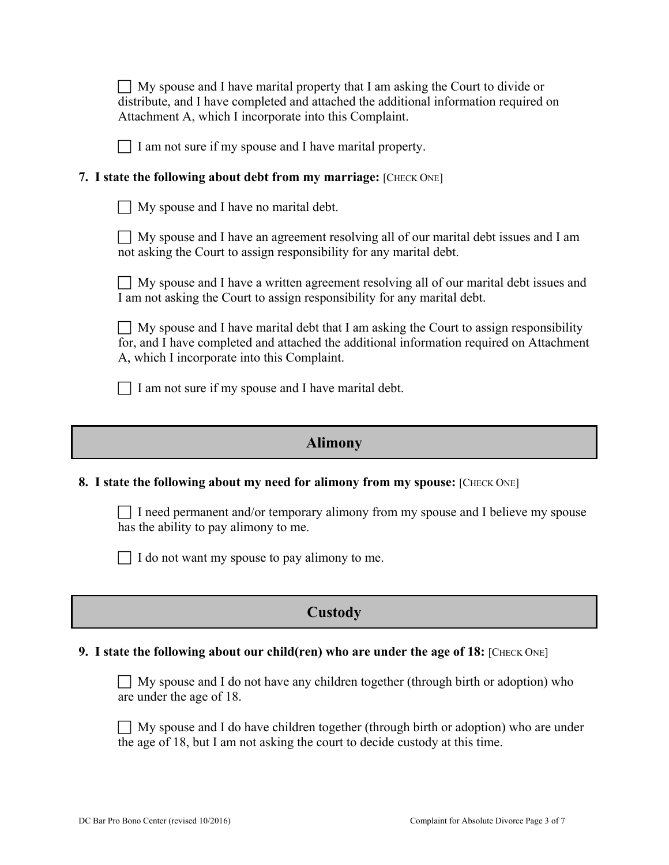| $\Box$ My spouse and I have marital property that I am asking the Court to divide or |
|--------------------------------------------------------------------------------------|
| distribute, and I have completed and attached the additional information required on |
| Attachment A, which I incorporate into this Complaint.                               |

 $\Box$  I am not sure if my spouse and I have marital property.

### **7.** I state the following about debt from my marriage: [CHECK ONE]

|  |  |  |  |  |  | My spouse and I have no marital debt. |  |
|--|--|--|--|--|--|---------------------------------------|--|
|--|--|--|--|--|--|---------------------------------------|--|

 $\Box$  My spouse and I have an agreement resolving all of our marital debt issues and I am not asking the Court to assign responsibility for any marital debt.

 $\Box$  My spouse and I have a written agreement resolving all of our marital debt issues and I am not asking the Court to assign responsibility for any marital debt.

 $\Box$  My spouse and I have marital debt that I am asking the Court to assign responsibility for, and I have completed and attached the additional information required on Attachment A, which I incorporate into this Complaint.

 $\Box$  I am not sure if my spouse and I have marital debt.

## **Alimony**

### **8.** I state the following about my need for alimony from my spouse: [CHECK ONE]

 $\Box$  I need permanent and/or temporary alimony from my spouse and I believe my spouse has the ability to pay alimony to me.

 $\Box$  I do not want my spouse to pay alimony to me.

# **Custody**

### **9. I state the following about our child(ren) who are under the age of 18:** [CHECK ONE]

 $\Box$  My spouse and I do not have any children together (through birth or adoption) who are under the age of 18.

 $\Box$  My spouse and I do have children together (through birth or adoption) who are under the age of 18, but I am not asking the court to decide custody at this time.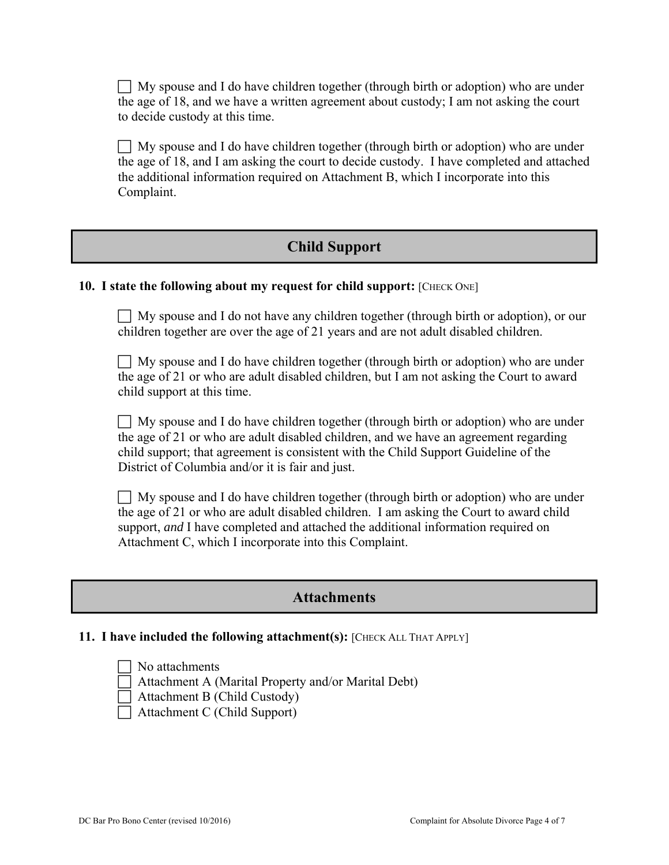$\Box$  My spouse and I do have children together (through birth or adoption) who are under the age of 18, and we have a written agreement about custody; I am not asking the court to decide custody at this time.

 $\Box$  My spouse and I do have children together (through birth or adoption) who are under the age of 18, and I am asking the court to decide custody. I have completed and attached the additional information required on Attachment B, which I incorporate into this Complaint.

## **Child Support**

### **10. I state the following about my request for child support:** [CHECK ONE]

 $\Box$  My spouse and I do not have any children together (through birth or adoption), or our children together are over the age of 21 years and are not adult disabled children.

 $\Box$  My spouse and I do have children together (through birth or adoption) who are under the age of 21 or who are adult disabled children, but I am not asking the Court to award child support at this time.

 $\Box$  My spouse and I do have children together (through birth or adoption) who are under the age of 21 or who are adult disabled children, and we have an agreement regarding child support; that agreement is consistent with the Child Support Guideline of the District of Columbia and/or it is fair and just.

 $\Box$  My spouse and I do have children together (through birth or adoption) who are under the age of 21 or who are adult disabled children. I am asking the Court to award child support, *and* I have completed and attached the additional information required on Attachment C, which I incorporate into this Complaint.

## **Attachments**

### **11. I have included the following attachment(s):** [CHECK ALL THAT APPLY]

 No attachments Attachment A (Marital Property and/or Marital Debt) Attachment B (Child Custody)

Attachment C (Child Support)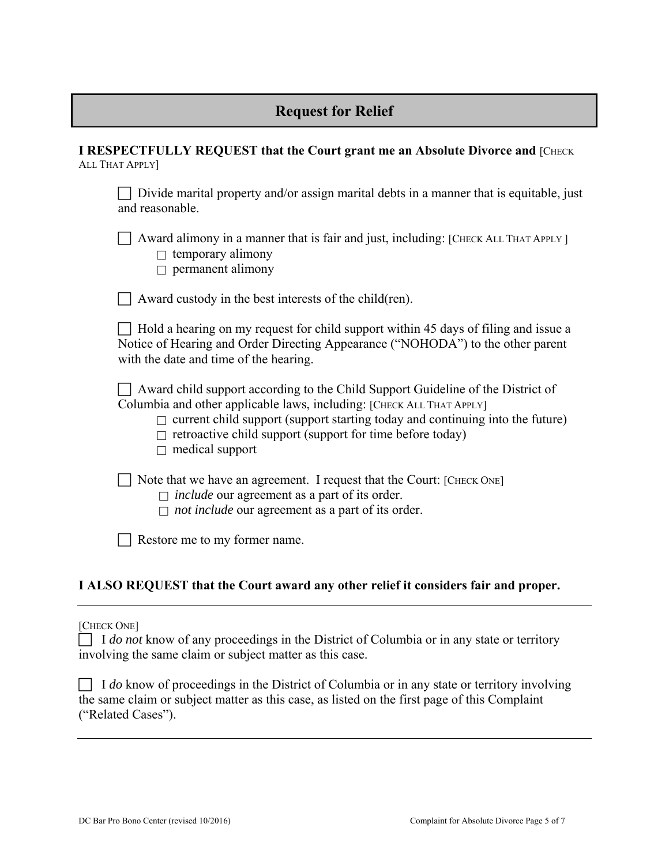## **Request for Relief**

**I RESPECTFULLY REQUEST that the Court grant me an Absolute Divorce and [CHECK** ALL THAT APPLY]

Divide marital property and/or assign marital debts in a manner that is equitable, just and reasonable.

 $\Box$  Award alimony in a manner that is fair and just, including: [CHECK ALL THAT APPLY]

 $\Box$  temporary alimony

 $\Box$  permanent alimony

 $\Box$  Award custody in the best interests of the child(ren).

 $\Box$  Hold a hearing on my request for child support within 45 days of filing and issue a Notice of Hearing and Order Directing Appearance ("NOHODA") to the other parent with the date and time of the hearing.

 $\Box$  Award child support according to the Child Support Guideline of the District of Columbia and other applicable laws, including: [CHECK ALL THAT APPLY]

- $\Box$  current child support (support starting today and continuing into the future)
- $\Box$  retroactive child support (support for time before today)
- $\Box$  medical support

Note that we have an agreement. I request that the Court: [CHECK ONE]

- *include* our agreement as a part of its order.
- *not include* our agreement as a part of its order.

Restore me to my former name.

### **I ALSO REQUEST that the Court award any other relief it considers fair and proper.**

#### [CHECK ONE]

| $\Box$ I do not know of any proceedings in the District of Columbia or in any state or territory |  |  |
|--------------------------------------------------------------------------------------------------|--|--|
| involving the same claim or subject matter as this case.                                         |  |  |

| $\Box$ I do know of proceedings in the District of Columbia or in any state or territory involving |  |  |
|----------------------------------------------------------------------------------------------------|--|--|
| the same claim or subject matter as this case, as listed on the first page of this Complaint       |  |  |
| ("Related Cases").                                                                                 |  |  |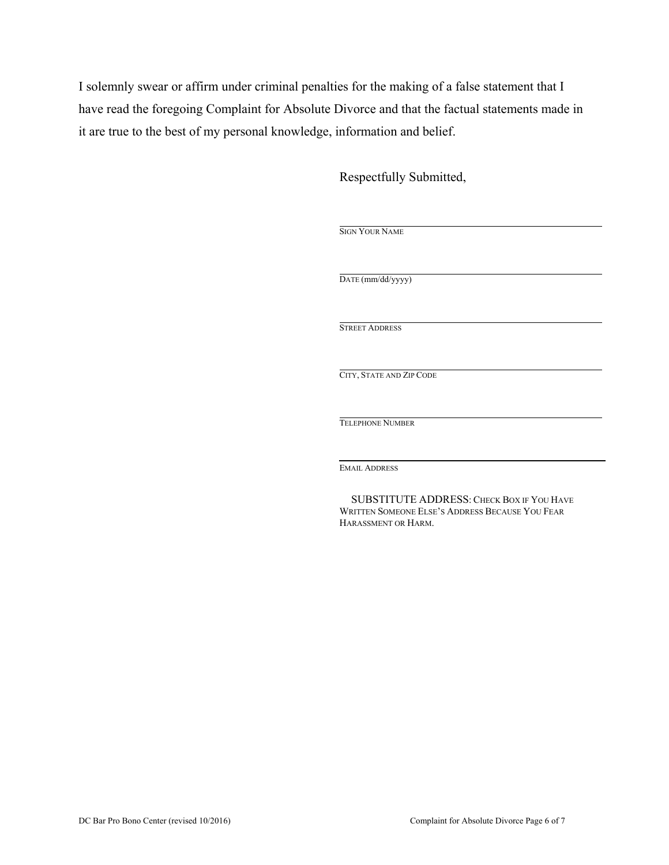I solemnly swear or affirm under criminal penalties for the making of a false statement that I have read the foregoing Complaint for Absolute Divorce and that the factual statements made in it are true to the best of my personal knowledge, information and belief.

Respectfully Submitted,

| DATE (mm/dd/yyyy)        |  |  |
|--------------------------|--|--|
|                          |  |  |
| <b>STREET ADDRESS</b>    |  |  |
|                          |  |  |
|                          |  |  |
| CITY, STATE AND ZIP CODE |  |  |
|                          |  |  |
|                          |  |  |
| <b>TELEPHONE NUMBER</b>  |  |  |
|                          |  |  |
|                          |  |  |
| <b>EMAIL ADDRESS</b>     |  |  |

SUBSTITUTE ADDRESS: CHECK BOX IF YOU HAVE WRITTEN SOMEONE ELSE'S ADDRESS BECAUSE YOU FEAR HARASSMENT OR HARM.